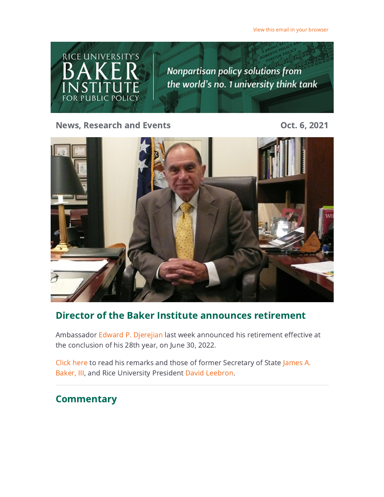[View this email in your browser](https://riceconnect.rice.edu/emailviewonwebpage.aspx?erid=e6451359-e9a2-4ba3-9607-fb5cdd789d42&trid=e6451359-e9a2-4ba3-9607-fb5cdd789d42)



News, Research and Events **Contact Control** Cont. 6, 2021



### Director of the Baker Institute announces retirement

Ambassador [Edward P. Djerejian](https://riceconnect.rice.edu/page.redir?target=https%3a%2f%2fwww.bakerinstitute.org%2fexperts%2fedward-p-djerejian%2f&srcid=250897&srctid=1&erid=e6451359-e9a2-4ba3-9607-fb5cdd789d42&trid=e6451359-e9a2-4ba3-9607-fb5cdd789d42) last week announced his retirement effective at the conclusion of his 28th year, on June 30, 2022.

[Click here](https://riceconnect.rice.edu/page.redir?target=https%3a%2f%2fwww.bakerinstitute.org%2fdirector-of-baker-institut%2f&srcid=250897&srctid=1&erid=e6451359-e9a2-4ba3-9607-fb5cdd789d42&trid=e6451359-e9a2-4ba3-9607-fb5cdd789d42) [to read his remarks and those of former Secretary of State James A.](https://riceconnect.rice.edu/page.redir?target=https%3a%2f%2fwww.bakerinstitute.org%2fhonorary-chair-james-a-baker%2f&srcid=250897&srctid=1&erid=e6451359-e9a2-4ba3-9607-fb5cdd789d42&trid=e6451359-e9a2-4ba3-9607-fb5cdd789d42) Baker, III, and Rice University President [David Leebron.](https://riceconnect.rice.edu/page.redir?target=https%3a%2f%2fpresident.rice.edu%2fpresidents-office%2fbio&srcid=250897&srctid=1&erid=e6451359-e9a2-4ba3-9607-fb5cdd789d42&trid=e6451359-e9a2-4ba3-9607-fb5cdd789d42)

### **Commentary**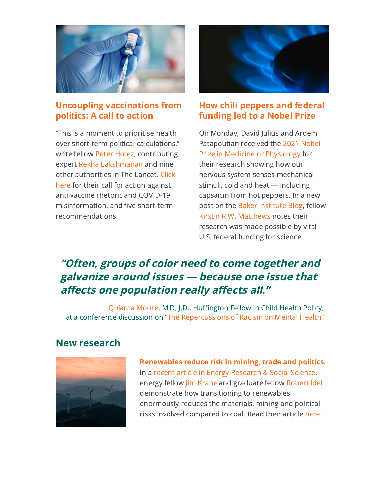

#### [Uncoupling vaccinations from](https://riceconnect.rice.edu/page.redir?target=https%3a%2f%2fwww.thelancet.com%2fjournals%2flancet%2farticle%2fPIIS0140-6736(21)02099-7%2ffulltext%23%2520&srcid=250897&srctid=1&erid=e6451359-e9a2-4ba3-9607-fb5cdd789d42&trid=e6451359-e9a2-4ba3-9607-fb5cdd789d42) politics: A call to action

"This is a moment to prioritise health over short-term political calculations," write fellow [Peter Hotez](https://riceconnect.rice.edu/page.redir?target=https%3a%2f%2fwww.bakerinstitute.org%2fexperts%2fpeter-j-hotez%2f&srcid=250897&srctid=1&erid=e6451359-e9a2-4ba3-9607-fb5cdd789d42&trid=e6451359-e9a2-4ba3-9607-fb5cdd789d42), contributing expert [Rekha Lakshmanan](https://riceconnect.rice.edu/page.redir?target=https%3a%2f%2fwww.bakerinstitute.org%2fexperts%2frekha-lakshmanan%2f&srcid=250897&srctid=1&erid=e6451359-e9a2-4ba3-9607-fb5cdd789d42&trid=e6451359-e9a2-4ba3-9607-fb5cdd789d42) and nine [other authorities in The Lancet. Click](https://riceconnect.rice.edu/page.redir?target=https%3a%2f%2fwww.thelancet.com%2fjournals%2flancet%2farticle%2fPIIS0140-6736(21)02099-7%2ffulltext%23%2520&srcid=250897&srctid=1&erid=e6451359-e9a2-4ba3-9607-fb5cdd789d42&trid=e6451359-e9a2-4ba3-9607-fb5cdd789d42) here for their call for action against anti-vaccine rhetoric and COVID-19 misinformation, and five short-term recommendations.



#### [How chili peppers and federal](https://riceconnect.rice.edu/page.redir?target=https%3a%2f%2fblog.bakerinstitute.org%2f2021%2f10%2f04%2f2021-nobel-prize-in-medicine-awarded-to-researchers-who-told-us-how-chili-peppers-make-you-hot-and-menthol-cool%2f&srcid=250897&srctid=1&erid=e6451359-e9a2-4ba3-9607-fb5cdd789d42&trid=e6451359-e9a2-4ba3-9607-fb5cdd789d42) funding led to a Nobel Prize

On Monday, David Julius and Ardem [Patapoutian received the 2021 Nobel](https://riceconnect.rice.edu/page.redir?target=https%3a%2f%2fwww.nobelprize.org%2fprizes%2fmedicine%2f2021%2fprize-announcement%2f&srcid=250897&srctid=1&erid=e6451359-e9a2-4ba3-9607-fb5cdd789d42&trid=e6451359-e9a2-4ba3-9607-fb5cdd789d42) Prize in Medicine or Physiology for their research showing how our nervous system senses mechanical stimuli, cold and heat — including capsaicin from hot peppers. In a new post on the [Baker Institute Blog,](https://riceconnect.rice.edu/page.redir?target=https%3a%2f%2fblog.bakerinstitute.org%2f2021%2f10%2f04%2f2021-nobel-prize-in-medicine-awarded-to-researchers-who-told-us-how-chili-peppers-make-you-hot-and-menthol-cool%2f&srcid=250897&srctid=1&erid=e6451359-e9a2-4ba3-9607-fb5cdd789d42&trid=e6451359-e9a2-4ba3-9607-fb5cdd789d42) fellow [Kirstin R.W. Matthews](https://riceconnect.rice.edu/page.redir?target=https%3a%2f%2fwww.bakerinstitute.org%2fexperts%2fkirstin-rw-matthews%2f&srcid=250897&srctid=1&erid=e6451359-e9a2-4ba3-9607-fb5cdd789d42&trid=e6451359-e9a2-4ba3-9607-fb5cdd789d42) notes their research was made possible by vital U.S. federal funding for science.

# "Often, groups of color need to come together and galvanize around issues — because one issue that affects one population really affects all."

[Quianta Moore](https://riceconnect.rice.edu/page.redir?target=https%3a%2f%2fwww.bakerinstitute.org%2fexperts%2fquianta-moore%2f&srcid=250897&srctid=1&erid=e6451359-e9a2-4ba3-9607-fb5cdd789d42&trid=e6451359-e9a2-4ba3-9607-fb5cdd789d42), M.D, J.D., Huffington Fellow in Child Health Policy, at a conference discussion on ["The Repercussions of Racism on Mental Health"](https://riceconnect.rice.edu/page.redir?target=https%3a%2f%2fmmhpi.org%2fevent%2fengage-excel-2021%2f&srcid=250897&srctid=1&erid=e6451359-e9a2-4ba3-9607-fb5cdd789d42&trid=e6451359-e9a2-4ba3-9607-fb5cdd789d42)

### New research



[Renewables reduce risk in mining, trade and politics.](https://riceconnect.rice.edu/page.redir?target=https%3a%2f%2fwww.sciencedirect.com%2fscience%2farticle%2fpii%2fS2214629621004035%3fdgcid%3dauthor&srcid=250897&srctid=1&erid=e6451359-e9a2-4ba3-9607-fb5cdd789d42&trid=e6451359-e9a2-4ba3-9607-fb5cdd789d42) In a [recent article in Energy Research & Social Science](https://riceconnect.rice.edu/page.redir?target=https%3a%2f%2fwww.sciencedirect.com%2fscience%2farticle%2fpii%2fS2214629621004035%3fdgcid%3dauthor&srcid=250897&srctid=1&erid=e6451359-e9a2-4ba3-9607-fb5cdd789d42&trid=e6451359-e9a2-4ba3-9607-fb5cdd789d42), energy fellow [Jim Krane](https://riceconnect.rice.edu/page.redir?target=https%3a%2f%2fwww.bakerinstitute.org%2fexperts%2fjim-krane%2f&srcid=250897&srctid=1&erid=e6451359-e9a2-4ba3-9607-fb5cdd789d42&trid=e6451359-e9a2-4ba3-9607-fb5cdd789d42) and graduate fellow [Robert Idel](https://riceconnect.rice.edu/page.redir?target=https%3a%2f%2fwww.bakerinstitute.org%2fexperts%2frobert-idel%2f&srcid=250897&srctid=1&erid=e6451359-e9a2-4ba3-9607-fb5cdd789d42&trid=e6451359-e9a2-4ba3-9607-fb5cdd789d42) demonstrate how transitioning to renewables enormously reduces the materials, mining and political risks involved compared to coal. Read their article [here.](https://riceconnect.rice.edu/page.redir?target=https%3a%2f%2fwww.sciencedirect.com%2fscience%2farticle%2fpii%2fS2214629621004035%3fdgcid%3dauthor&srcid=250897&srctid=1&erid=e6451359-e9a2-4ba3-9607-fb5cdd789d42&trid=e6451359-e9a2-4ba3-9607-fb5cdd789d42)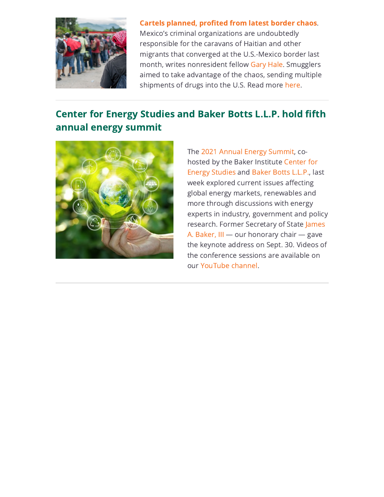

[Cartels planned, profited from latest border chaos](https://riceconnect.rice.edu/page.redir?target=https%3a%2f%2fblog.bakerinstitute.org%2f2021%2f09%2f21%2fmexican-cartels-behind-haitian-caravan-chaos-at-u-s-mexico-border%2f&srcid=250897&srctid=1&erid=e6451359-e9a2-4ba3-9607-fb5cdd789d42&trid=e6451359-e9a2-4ba3-9607-fb5cdd789d42). Mexico's criminal organizations are undoubtedly responsible for the caravans of Haitian and other migrants that converged at the U.S.-Mexico border last month, writes nonresident fellow [Gary Hale](https://riceconnect.rice.edu/page.redir?target=https%3a%2f%2fwww.bakerinstitute.org%2fexperts%2fgary-j-hale%2f&srcid=250897&srctid=1&erid=e6451359-e9a2-4ba3-9607-fb5cdd789d42&trid=e6451359-e9a2-4ba3-9607-fb5cdd789d42). Smugglers aimed to take advantage of the chaos, sending multiple shipments of drugs into the U.S. Read more [here.](https://riceconnect.rice.edu/page.redir?target=http%3a%2f%2fblog.bakerinstitute.org%2f2021%2f09%2f21%2fmexican-cartels-behind-haitian-caravan-chaos-at-u-s-mexico-border%2f&srcid=250897&srctid=1&erid=e6451359-e9a2-4ba3-9607-fb5cdd789d42&trid=e6451359-e9a2-4ba3-9607-fb5cdd789d42)

## Center for Energy Studies and Baker Botts L.L.P. hold fifth annual energy summit



The [2021 Annual Energy Summit](https://riceconnect.rice.edu/page.redir?target=https%3a%2f%2fwww.bakerinstitute.org%2fevents%2f2247%2f&srcid=250897&srctid=1&erid=e6451359-e9a2-4ba3-9607-fb5cdd789d42&trid=e6451359-e9a2-4ba3-9607-fb5cdd789d42), cohosted by the Baker Institute Center for [Energy Studies and Baker Botts L.L.P., la](https://riceconnect.rice.edu/page.redir?target=https%3a%2f%2fwww.bakerinstitute.org%2fcenter-for-energy-studies%2f&srcid=250897&srctid=1&erid=e6451359-e9a2-4ba3-9607-fb5cdd789d42&trid=e6451359-e9a2-4ba3-9607-fb5cdd789d42)st week explored current issues affecting global energy markets, renewables and more through discussions with energy experts in industry, government and policy [research. Former Secretary of State James](https://riceconnect.rice.edu/page.redir?target=https%3a%2f%2fwww.bakerinstitute.org%2fhonorary-chair-james-a-baker%2f&srcid=250897&srctid=1&erid=e6451359-e9a2-4ba3-9607-fb5cdd789d42&trid=e6451359-e9a2-4ba3-9607-fb5cdd789d42) A. Baker, III — our honorary chair — gave the keynote address on Sept. 30. Videos of the conference sessions are available on our [YouTube channel.](https://riceconnect.rice.edu/page.redir?target=https%3a%2f%2fwww.youtube.com%2fuser%2fBakerInstitute%2ffeatured&srcid=250897&srctid=1&erid=e6451359-e9a2-4ba3-9607-fb5cdd789d42&trid=e6451359-e9a2-4ba3-9607-fb5cdd789d42)